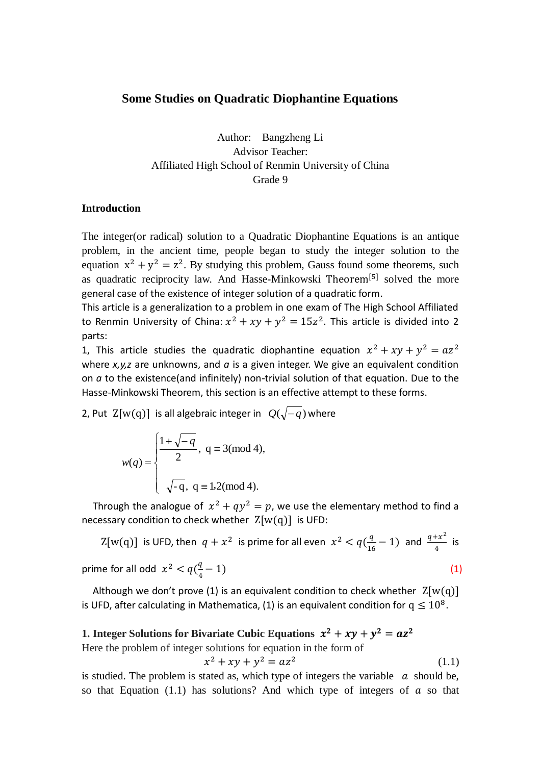## **Some Studies on Quadratic Diophantine Equations**

Author: Bangzheng Li Advisor Teacher: Affiliated High School of Renmin University of China Grade 9

## **Introduction**

The integer(or radical) solution to a Quadratic Diophantine Equations is an antique problem, in the ancient time, people began to study the integer solution to the equation  $x^2 + y^2 = z^2$ . By studying this problem, Gauss found some theorems, such as quadratic reciprocity law. And Hasse-Minkowski Theorem<sup>[5]</sup> solved the more general case of the existence of integer solution of a quadratic form.

This article is a generalization to a problem in one exam of The High School Affiliated to Renmin University of China:  $x^2 + xy + y^2 = 15z^2$ . This article is divided into 2 parts:

1, This article studies the quadratic diophantine equation  $x^2$ where *x,y,z* are unknowns, and *a* is a given integer. We give an equivalent condition on *a* to the existence(and infinitely) non-trivial solution of that equation. Due to the Hasse-Minkowski Theorem, this section is an effective attempt to these forms.

2, Put  $Z[w(q)]$  is all algebraic integer in  $Q(\sqrt{-q})$  where

$$
w(q) = \begin{cases} \frac{1 + \sqrt{-q}}{2}, & q \equiv 3 \pmod{4}, \\ \sqrt{-q}, & q \equiv 1,2 \pmod{4}. \end{cases}
$$

Through the analogue of  $x^2 + qy^2 = p$ , we use the elementary method to find a necessary condition to check whether  $Z[w(q)]$  is UFD:

$$
Z[w(q)] \text{ is UFD, then } q + x^2 \text{ is prime for all even } x^2 < q\left(\frac{q}{16} - 1\right) \text{ and } \frac{q + x^2}{4} \text{ is prime for all odd } x^2 < q\left(\frac{q}{4} - 1\right) \tag{1}
$$

Although we don't prove (1) is an equivalent condition to check whether  $Z[w(q)]$ is UFD, after calculating in Mathematica, (1) is an equivalent condition for  $q \leq 10^8$ .

## **1.** Integer Solutions for Bivariate Cubic Equations  $x^2 + xy + y^2 = az^2$

Here the problem of integer solutions for equation in the form of

$$
x^2 + xy + y^2 = az^2 \tag{1.1}
$$

is studied. The problem is stated as, which type of integers the variable  $\alpha$  should be, so that Equation (1.1) has solutions? And which type of integers of  $\alpha$  so that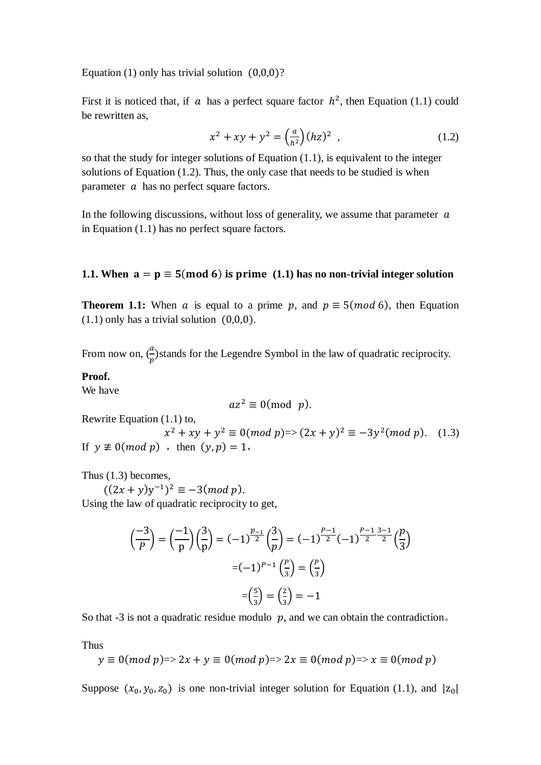Equation (1) only has trivial solution  $(0,0,0)$ ?

First it is noticed that, if a has a perfect square factor  $h^2$ , then Equation (1.1) could be rewritten as,

$$
x^{2} + xy + y^{2} = \left(\frac{a}{h^{2}}\right)(hz)^{2} , \qquad (1.2)
$$

so that the study for integer solutions of Equation (1.1), is equivalent to the integer solutions of Equation (1.2). Thus, the only case that needs to be studied is when parameter  $a$  has no perfect square factors.

In the following discussions, without loss of generality, we assume that parameter  $\alpha$ in Equation (1.1) has no perfect square factors.

## **1.1.** When  $a = p \equiv 5 \pmod{6}$  is prime (1.1) has no non-trivial integer solution

**Theorem 1.1:** When a is equal to a prime p, and  $p \equiv 5 \pmod{6}$ , then Equation  $(1.1)$  only has a trivial solution  $(0,0,0)$ .

From now on,  $\left(\frac{a}{p}\right)$ stands for the Legendre Symbol in the law of quadratic reciprocity.

### **Proof.**

We have

$$
az^2 \equiv 0 \pmod{p}.
$$

Rewrite Equation (1.1) to,

 $x^2 + xy + y^2 \equiv 0 \pmod{p} \Rightarrow (2x + y)^2 \equiv -3y^2 \pmod{p}.$  (1.3) If  $y \not\equiv 0 \pmod{p}$ , then  $(y, p) = 1$ ,

Thus (1.3) becomes,

 $(-1)^2 \equiv -3 (mod p).$ 

Using the law of quadratic reciprocity to get,

$$
\left(\frac{-3}{p}\right) = \left(\frac{-1}{p}\right)\left(\frac{3}{p}\right) = (-1)^{\frac{p-1}{2}}\left(\frac{3}{p}\right) = (-1)^{\frac{p-1}{2}}(-1)^{\frac{p-1}{2}\cdot\frac{3-1}{2}}\left(\frac{p}{3}\right)
$$

$$
=(-1)^{p-1}\left(\frac{p}{3}\right) = \left(\frac{p}{3}\right)
$$

$$
=\left(\frac{5}{3}\right) = \left(\frac{2}{3}\right) = -1
$$

So that  $-3$  is not a quadratic residue modulo  $p$ , and we can obtain the contradiction.

Thus

$$
y \equiv 0 (mod p) \Rightarrow 2x + y \equiv 0 (mod p) \Rightarrow 2x \equiv 0 (mod p) \Rightarrow x \equiv 0 (mod p)
$$

Suppose  $(x_0, y_0, z_0)$  is one non-trivial integer solution for Equation (1.1), and  $|z_0|$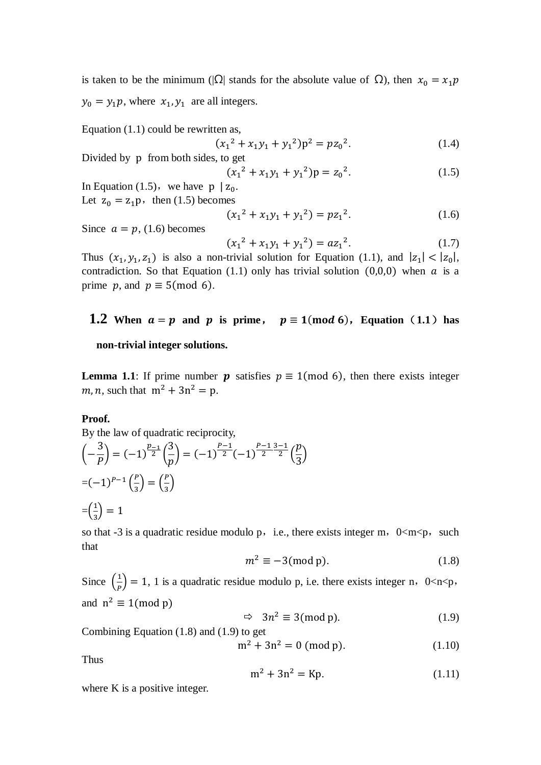is taken to be the minimum ( $|\Omega|$  stands for the absolute value of  $\Omega$ ), then  $x_0 = x_1 p$  $y_0 = y_1 p$ , where  $x_1, y_1$  are all integers.

Equation (1.1) could be rewritten as,

$$
(x12 + x1y1 + y12)p2 = pz02.
$$
 (1.4)

Divided by p from both sides, to get

$$
(x12 + x1y1 + y12)p = z02.
$$
 (1.5)

In Equation (1.5), we have  $p \mid z_0$ . Let  $z_0 = z_1 p$ , then (1.5) becomes

$$
(x_1^2 + x_1y_1 + y_1^2) = pz_1^2.
$$
 (1.6)

Since  $a = p$ , (1.6) becomes

$$
(x_1^2 + x_1y_1 + y_1^2) = az_1^2.
$$
 (1.7)

Thus  $(x_1, y_1, z_1)$  is also a non-trivial solution for Equation (1.1), and  $|z_1| < |z_0|$ , contradiction. So that Equation (1.1) only has trivial solution (0,0,0) when  $\alpha$  is a prime p, and  $p \equiv 5 \pmod{6}$ .

# **1.2** When  $a = p$  and  $p$  is prime,  $p \equiv 1 \pmod{6}$ , Equation (1.1) has

## **non-trivial integer solutions.**

**Lemma 1.1**: If prime number **p** satisfies  $p \equiv 1 \pmod{6}$ , then there exists integer m, n, such that  $m^2 + 3n^2 = p$ .

#### **Proof.**

By the law of quadratic reciprocity,  
\n
$$
\left(-\frac{3}{p}\right) = (-1)^{\frac{p-1}{2}} \left(\frac{3}{p}\right) = (-1)^{\frac{p-1}{2}} (-1)^{\frac{p-1}{2} \cdot \frac{3-1}{2}} \left(\frac{p}{3}\right)
$$
  
\n $= (-1)^{p-1} \left(\frac{p}{3}\right) = \left(\frac{p}{3}\right)$   
\n $= \left(\frac{1}{3}\right) = 1$ 

so that -3 is a quadratic residue modulo p, i.e., there exists integer m,  $0\le m\le p$ , such that

$$
m^2 \equiv -3 \pmod{p}.\tag{1.8}
$$

Since  $\left(\frac{1}{R}\right)$  $\frac{1}{p}$  = 1, 1 is a quadratic residue modulo p, i.e. there exists integer n, 0<n<p, and  $n^2$ 

$$
\Rightarrow \quad 3n^2 \equiv 3 \pmod{p}.\tag{1.9}
$$

Combining Equation (1.8) and (1.9) to get

$$
m^2 + 3n^2 = 0 \text{ (mod p)}.
$$
 (1.10)

Thus

$$
m^2 + 3n^2 = Kp.
$$
 (1.11)

where K is a positive integer.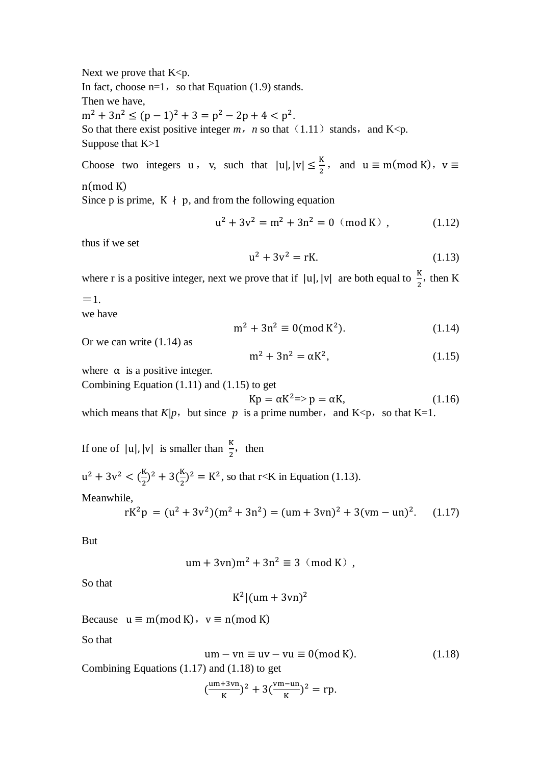Next we prove that  $K < p$ .

In fact, choose  $n=1$ , so that Equation (1.9) stands.

Then we have,

 $m^2 + 3n^2 \le (p-1)^2 + 3 = p^2 - 2p + 4 < p^2$ .

So that there exist positive integer  $m$ ,  $n$  so that (1.11) stands, and K<p. Suppose that K>1

Choose two integers  $u$ , v, such that  $|u|, |v| \leq \frac{K}{2}$ , and  $u \equiv m \pmod{K}$ , v

 $n \pmod{K}$ 

Since p is prime,  $K \nmid p$ , and from the following equation

$$
u^{2} + 3v^{2} = m^{2} + 3n^{2} = 0 \pmod{K}, \qquad (1.12)
$$

thus if we set

$$
u^2 + 3v^2 = rK.
$$
 (1.13)

where r is a positive integer, next we prove that if  $|u|, |v|$  are both equal to  $\frac{k}{2}$ , then K

 $=1$ .

we have

$$
m^2 + 3n^2 \equiv 0 \pmod{K^2}.
$$
 (1.14)

Or we can write (1.14) as

$$
m^2 + 3n^2 = \alpha K^2, \tag{1.15}
$$

where  $\alpha$  is a positive integer.

Combining Equation (1.11) and (1.15) to get

$$
Kp = \alpha K^2 \Rightarrow p = \alpha K, \tag{1.16}
$$

which means that  $K/p$ , but since p is a prime number, and  $K\leq p$ , so that K=1.

If one of  $|u|, |v|$  is smaller than  $\frac{\pi}{2}$ , then

 $u^2$  $\frac{K}{2}$ )<sup>2</sup>  $\frac{R}{2}$ )<sup>2</sup> = K<sup>2</sup>, so that r<K in Equation (1.13).

Meanwhile,

$$
rK^{2}p = (u^{2} + 3v^{2})(m^{2} + 3n^{2}) = (um + 3vn)^{2} + 3(vm - un)^{2}. \quad (1.17)
$$

But

$$
um + 3vn)m2 + 3n2 \equiv 3 \pmod{K},
$$

So that

$$
K^2 | (um + 3vn)^2
$$

Because  $u \equiv m \pmod{K}$ ,  $v \equiv n \pmod{K}$ 

So that

$$
um - vn \equiv uv - vu \equiv 0 \pmod{K}.
$$
 (1.18)

Combining Equations (1.17) and (1.18) to get

$$
(\frac{um+3vn}{K})^2 + 3(\frac{vm-un}{K})^2 = rp.
$$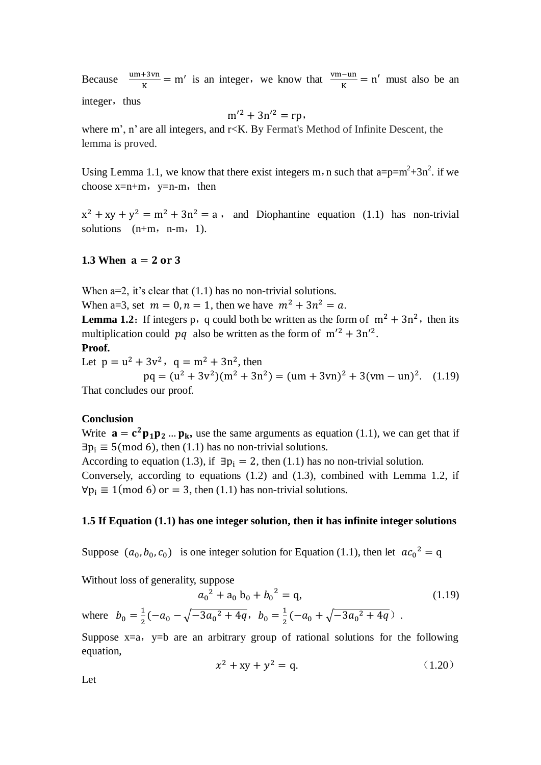Because  $\frac{um + 3vn}{K} = m'$  is an integer, we know that  $\frac{vm - un}{K} = n'$  must also be an

integer, thus

$$
m^{\prime 2} + 3n^{\prime 2} = rp,
$$

where m', n' are all integers, and r<K. By Fermat's Method of Infinite Descent, the lemma is proved.

Using Lemma 1.1, we know that there exist integers m, n such that  $a=p=m^2+3n^2$ . if we choose  $x=n+m$ ,  $y=n-m$ , then

 $x^{2} + xy + y^{2} = m^{2} + 3n^{2} = a$ , and Diophantine equation (1.1) has non-trivial solutions  $(n+m, n-m, 1)$ .

### **1.3 When**  $a = 2$  or 3

When  $a=2$ , it's clear that  $(1.1)$  has no non-trivial solutions.

When a=3, set  $m = 0, n = 1$ , then we have  $m^2 + 3n^2 = a$ .

**Lemma 1.2:** If integers p, q could both be written as the form of  $m^2 + 3n^2$ , then its multiplication could pq also be written as the form of  $m'^2 + 3n'^2$ .

## **Proof.**

Let  $p = u^2 + 3v^2$ ,  $q = m^2 + 3n^2$ , then  $pq = (u^2 + 3v^2)(m^2 + 3n^2) = (um + 3vn)^2 + 3(vm - un)^2$ . (1.19) That concludes our proof.

### **Conclusion**

Write  $\mathbf{a} = \mathbf{c}^2 \mathbf{p}_1 \mathbf{p}_2 \dots \mathbf{p}_k$ , use the same arguments as equation (1.1), we can get that if  $\exists p_i \equiv 5 \pmod{6}$ , then (1.1) has no non-trivial solutions. According to equation (1.3), if  $\exists p_i = 2$ , then (1.1) has no non-trivial solution. Conversely, according to equations (1.2) and (1.3), combined with Lemma 1.2, if  $\forall p_i \equiv 1 \pmod{6}$  or = 3, then (1.1) has non-trivial solutions.

#### **1.5 If Equation (1.1) has one integer solution, then it has infinite integer solutions**

Suppose  $(a_0, b_0, c_0)$  is one integer solution for Equation (1.1), then let  $ac_0^2$ 

Without loss of generality, suppose

$$
a_0^2 + a_0 b_0 + b_0^2 = q,
$$
\n
$$
\frac{1}{2}(-a_0 - \sqrt{-3a_0^2 + 4q}, \ b_0 = \frac{1}{2}(-a_0 + \sqrt{-3a_0^2 + 4q}).
$$
\n(1.19)

Suppose  $x=a$ ,  $y=b$  are an arbitrary group of rational solutions for the following equation,

$$
x^2 + xy + y^2 = q.
$$
 (1.20)

Let

where  $b_0 =$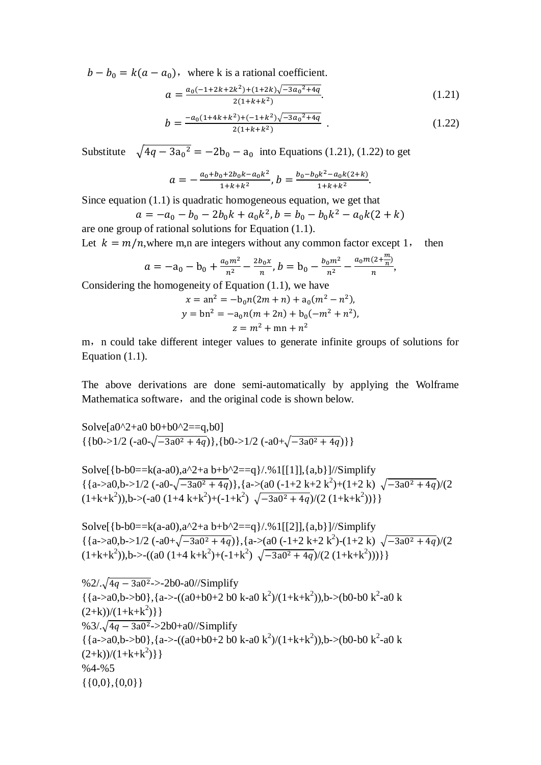$b - b_0 = k(a - a_0)$ , where k is a rational coefficient.

$$
a = \frac{a_0(-1+2k+2k^2)+(1+2k)\sqrt{-3a_0^2+4q}}{2(1+k+k^2)}.
$$
\n(1.21)

$$
b = \frac{-a_0(1+4k+k^2)+(-1+k^2)\sqrt{-3a_0^2+4q}}{2(1+k+k^2)}.
$$
 (1.22)

Substitute  $\sqrt{4q-3a_0^2} = -2b_0 - a_0$  into Equations (1.21), (1.22) to get

$$
a=-\frac{a_0+b_0+2b_0k-a_0k^2}{1+k+k^2},b=\frac{b_0-b_0k^2-a_0k(2+k)}{1+k+k^2}.
$$

Since equation  $(1.1)$  is quadratic homogeneous equation, we get that

$$
a = -a_0 - b_0 - 2b_0k + a_0k^2, b = b_0 - b_0k^2 - a_0k(2 + k)
$$
  
are one group of rational solutions for Equation (1.1).

Let  $k = m/n$ , where m,n are integers without any common factor except 1, then

$$
a = -a_0 - b_0 + \frac{a_0 m^2}{n^2} - \frac{2b_0 x}{n}, b = b_0 - \frac{b_0 m^2}{n^2} - \frac{a_0 m (2 + \frac{m}{n})}{n},
$$

Considering the homogeneity of Equation (1.1), we have

$$
x = an2 = -b0n(2m + n) + a0(m2 – n2),
$$
  
\n
$$
y = bn2 = -a0n(m + 2n) + b0(-m2 + n2),
$$
  
\n
$$
z = m2 + mn + n2
$$

m, n could take different integer values to generate infinite groups of solutions for Equation (1.1).

The above derivations are done semi-automatically by applying the Wolframe Mathematica software, and the original code is shown below.

Solve[a0^2+a0 b0+b0^2=-q,b0]  
{b0->1/2 (-a0-
$$
\sqrt{-3a0^2+4q}
$$
), {b0->1/2 (-a0+ $\sqrt{-3a0^2+4q}$ )}

Solve[{b-b0==k(a-a0),a^2+a b+b^2=-q}/.%1[[1]], {a,b}] // Simplify  
{a>a0,b>1/2 (-a0-
$$
\sqrt{-3a0^2 + 4q}
$$
)}, {a>a0 (-1+2 k+2 k<sup>2</sup>)+(1+2 k)  $\sqrt{-3a0^2 + 4q}$ )/(2  
(1+k+k<sup>2</sup>)),b>(-a0 (1+4 k+k<sup>2</sup>)+(-1+k<sup>2</sup>)  $\sqrt{-3a0^2 + 4q}$ )/(2 (1+k+k<sup>2</sup>))}]

Solve[{b-b0==k(a-a0),a^2+a b+b^2==q}/.%1[[2]],{a,b}]//Simplify  $\{a > a0, b > 1/2 \left(-a0+\sqrt{-3a0^2+4q}\right), \{a > (a0 \left(-1+2 \text{ k}+2 \text{ k}^2\right) \cdot \left(1+2 \text{ k}\right) \sqrt{-3a0^2+4q}\right) / (2$  $(1+k+k^2)$ , b->- $((a0 (1+4 k+k^2)+(-1+k^2) \sqrt{-3a0^2+4q})/(2 (1+k+k^2)))\}$ 

\n
$$
\% 2/\sqrt{4q - 3a0^2} > -2b0 - a0 // \text{Simplify}
$$
\n $\{ \{a > a0, b > b0 \}, \{a > -((a0 + b0 + 2 \ b0 \ k - a0 \ k^2)/(1 + k + k^2) )\}, b > (b0 - b0 \ k^2 - a0 \ k (2 + k)/(1 + k + k^2) \} \}$ \n

\n\n $\% 3/\sqrt{4q - 3a0^2} > 2b0 + a0 // \text{Simplify}$ \n $\{ \{a > a0, b > b0 \}, \{a > -((a0 + b0 + 2 \ b0 \ k - a0 \ k^2)/(1 + k + k^2) )\}, b > (b0 - b0 \ k^2 - a0 \ k (2 + k)/(1 + k + k^2) \}$ \n

\n\n $\% 4 - \% 5$ \n $\{ \{0, 0\}, \{0, 0\} \}$ \n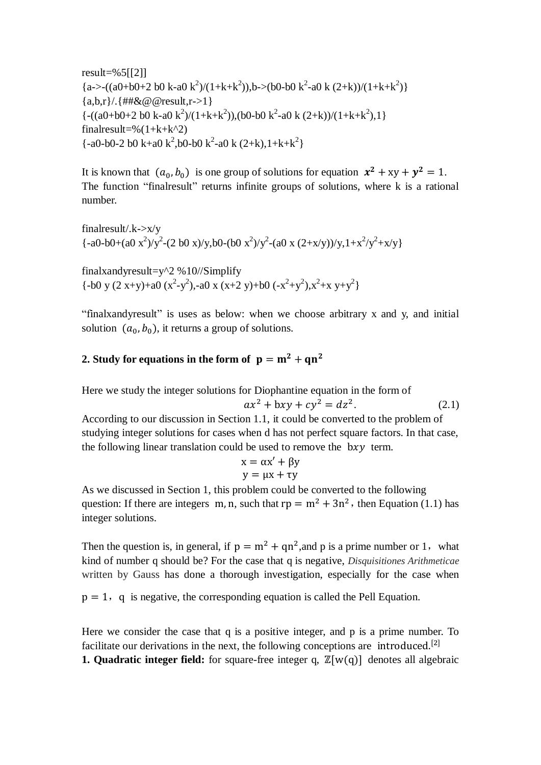$result=%5[[2]]$  ${a \rightarrow -( (a0+b0+2 b0 k-a0 k^2)/(1+k+k^2))}, b \rightarrow (b0-b0 k^2-a0 k (2+k))/(1+k+k^2)$ {a,b,r}/.{##&@@result,r->1}  $\{-( (a0+b0+2 b0 k-a0 k^2)/(1+k+k^2)), (b0-b0 k^2-a0 k (2+k))/(1+k+k^2), 1 \}$ finalresult=% $(1+k+k^2)$  $\{-a0-b0-2\}$  b0 k+a0 k<sup>2</sup>,b0-b0 k<sup>2</sup>-a0 k (2+k),1+k+k<sup>2</sup>}

It is known that  $(a_0, b_0)$  is one group of solutions for equation  $x^2 + xy + y^2 = 1$ . The function "finalresult" returns infinite groups of solutions, where k is a rational number.

finalresult/.k->x/y  $\{-a0-b0+(a0 x^2)/y^2-(2 b0 x)/y, b0-(b0 x^2)/y^2-(a0 x (2+x/y))/y, 1+x^2/y^2+x/y\}$ 

finalxandyresult=y^2 %10//Simplify  $\{-b0 \times (2 \times+y)+a0 \times (x^2-y^2), -a0 \times (x+2 \times y)+b0 \times (x^2+y^2), x^2+x \times y+y^2\}$ 

"finalxandyresult" is uses as below: when we choose arbitrary x and y, and initial solution  $(a_0, b_0)$ , it returns a group of solutions.

## **2. Study for equations in the form of**  $p = m^2 + qn^2$

Here we study the integer solutions for Diophantine equation in the form of

$$
ax2 + bxy + cy2 = dz2.
$$
 (2.1)

According to our discussion in Section 1.1, it could be converted to the problem of studying integer solutions for cases when d has not perfect square factors. In that case, the following linear translation could be used to remove the  $bxy$  term.

$$
x = \alpha x' + \beta y
$$

$$
y = \mu x + \tau y
$$

As we discussed in Section 1, this problem could be converted to the following question: If there are integers m, n, such that  $rp = m^2 + 3n^2$ , then Equation (1.1) has integer solutions.

Then the question is, in general, if  $p = m^2 + qn^2$ , and p is a prime number or 1, what kind of number q should be? For the case that q is negative, *Disquisitiones Arithmeticae*  written by Gauss has done a thorough investigation, especially for the case when

 $p = 1$ , q is negative, the corresponding equation is called the Pell Equation.

Here we consider the case that q is a positive integer, and p is a prime number. To facilitate our derivations in the next, the following conceptions are introduced.<sup>[2]</sup> **1. Quadratic integer field:** for square-free integer q,  $\mathbb{Z}[w(q)]$  denotes all algebraic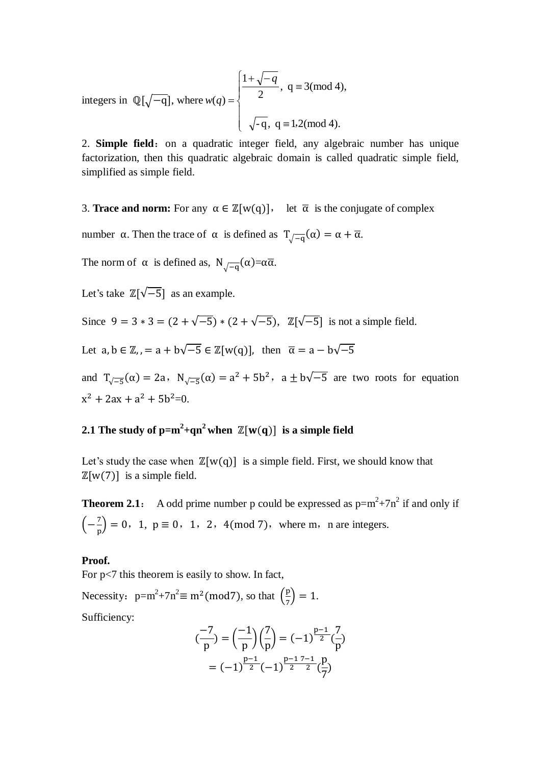integers in  $\mathbb{Q}[\sqrt{-q}]$ , where  $\overline{\phantom{a}}$  $\left| \right|$  $\overline{\mathcal{L}}$  $\overline{\phantom{a}}$  $\left\{ \right.$  $\int$  $\equiv$  $=$  $+\sqrt{-}$  $=$  $-q, q \equiv 1.2 \pmod{4}$ .  $, q \equiv 3 \pmod{4}$ , 2 1  $(q)$  $,2($ *q*  $w(q)$ 

2. **Simple field**: on a quadratic integer field, any algebraic number has unique factorization, then this quadratic algebraic domain is called quadratic simple field, simplified as simple field.

3. **Trace and norm:** For any  $\alpha \in \mathbb{Z}[\mathbf{w}(q)]$ , let  $\overline{\alpha}$  is the conjugate of complex

number  $\alpha$ . Then the trace of  $\alpha$  is defined as  $T_{\alpha=0}(\alpha) = \alpha + \overline{\alpha}$ .

The norm of  $\alpha$  is defined as,  $N_{\alpha=0} (\alpha) = \alpha \overline{\alpha}$ .

Let's take  $\mathbb{Z}[\sqrt{-5}]$  as an example.

Since  $9 = 3 * 3 = (2 + \sqrt{-5}) * (2 + \sqrt{-5})$ ,  $\mathbb{Z}[\sqrt{-5}]$  is not a simple field.

Let  $a, b \in \mathbb{Z}, a + b\sqrt{-5} \in \mathbb{Z}[w(q)]$ , then  $\overline{\alpha} = a - b\sqrt{-5}$ 

and  $T_{\sqrt{-5}}(\alpha) = 2a$ ,  $N_{\sqrt{-5}}(\alpha) = a^2 + 5b^2$ ,  $a \pm b\sqrt{-5}$  are two roots for equation  $x^2 + 2ax + a^2 + 5b^2 = 0$ .

## **2.1** The study of  $p=m^2+qn^2$  when  $\mathbb{Z}[w(q)]$  is a simple field

Let's study the case when  $\mathbb{Z}[w(q)]$  is a simple field. First, we should know that  $\mathbb{Z}[w(7)]$  is a simple field.

**Theorem 2.1**: A odd prime number p could be expressed as  $p=m^2+7n^2$  if and only if  $\left(-\frac{7}{4}\right)$  $\frac{1}{p}$  = 0, 1, p  $\equiv$  0, 1, 2, 4(mod 7), where m, n are integers.

### **Proof.**

For p<7 this theorem is easily to show. In fact, Necessity:  $p=m^2+7n^2 \equiv m^2 \pmod{7}$ , so that  $\left(\frac{p}{p}\right)$  $(\frac{p}{7}) = 1.$ Sufficiency:

$$
\begin{aligned} \left(\frac{-7}{p}\right) &= \left(\frac{-1}{p}\right) \left(\frac{7}{p}\right) = (-1)^{\frac{p-1}{2}} \left(\frac{7}{p}\right) \\ &= (-1)^{\frac{p-1}{2}} (-1)^{\frac{p-1}{2}} \left(\frac{p}{7}\right) \end{aligned}
$$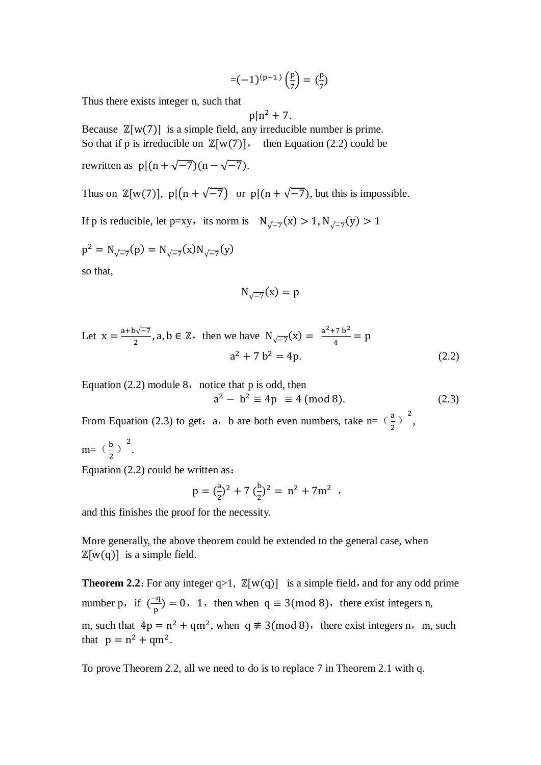$$
=(-1)^{(p-1)}\left(\frac{p}{7}\right)=(\frac{p}{7})
$$

Thus there exists integer n, such that

$$
p|n^2 + 7
$$
.

Because  $\mathbb{Z}[w(7)]$  is a simple field, any irreducible number is prime. So that if p is irreducible on  $\mathbb{Z}[w(7)]$ , then Equation (2.2) could be rewritten as  $p|(n+\sqrt{-7})(n-\sqrt{-7})$ .

Thus on  $\mathbb{Z}[w(7)]$ ,  $p|(n+\sqrt{-7})$  or  $p|(n+\sqrt{-7})$ , but this is impossible.

If p is reducible, let p=xy, its norm is  $N_{\sqrt{-7}}(x) > 1, N_{\sqrt{-7}}(x)$ 

$$
p^{2} = N_{\sqrt{-7}}(p) = N_{\sqrt{-7}}(x)N_{\sqrt{-7}}(y)
$$

so that,

$$
N_{\sqrt{-7}}(x) = p
$$

Let 
$$
x = \frac{a+b\sqrt{-7}}{2}
$$
, a, b  $\in \mathbb{Z}$ , then we have  $N_{\sqrt{-7}}(x) = \frac{a^2 + 7b^2}{4} = p$   
 $a^2 + 7b^2 = 4p$ . (2.2)

Equation  $(2.2)$  module 8, notice that p is odd, then  $a^2 - b^2 \equiv 4p \equiv 4 \pmod{8}$ . (2.3)

From Equation (2.3) to get: a, b are both even numbers, take n=  $(\frac{a}{a})$  $\frac{a}{2}$ )<sup>2</sup>,

 $m=$  ( $\frac{b}{a}$ )  $\frac{b}{2}$ )<sup>2</sup>.

Equation (2.2) could be written as:

$$
p = (\frac{a}{2})^2 + 7 (\frac{b}{2})^2 = n^2 + 7m^2 ,
$$

and this finishes the proof for the necessity.

More generally, the above theorem could be extended to the general case, when  $\mathbb{Z}[w(q)]$  is a simple field.

**Theorem 2.2:** For any integer  $q>1$ ,  $\mathbb{Z}[w(q)]$  is a simple field, and for any odd prime number p, if  $\overline{(-)}$  $\frac{q}{p}$  = 0, 1, then when  $q \equiv 3 \pmod{8}$ , there exist integers n, m, such that  $4p = n^2 + qm^2$ , when  $q \neq 3 \pmod{8}$ , there exist integers n, m, such that  $p = n^2 + qm^2$ .

To prove Theorem 2.2, all we need to do is to replace 7 in Theorem 2.1 with q.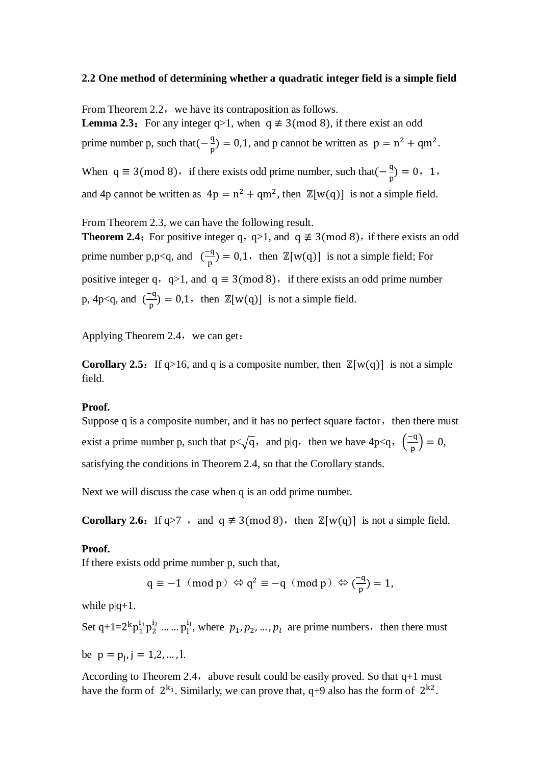### **2.2 One method of determining whether a quadratic integer field is a simple field**

From Theorem 2.2, we have its contraposition as follows.

**Lemma 2.3:** For any integer  $q>1$ , when  $q \neq 3 \pmod{8}$ , if there exist an odd prime number p, such that  $\left(-\frac{q}{p}\right) = 0.1$ , and p cannot be written as  $p = n^2 + qm^2$ . When  $q \equiv 3 \pmod{8}$ , if there exists odd prime number, such that  $\left(-\frac{q}{r}\right)$  $(\frac{q}{p}) = 0, 1,$ and 4p cannot be written as  $4p = n^2 + qm^2$ , then  $\mathbb{Z}[w(q)]$  is not a simple field.

From Theorem 2.3, we can have the following result.

**Theorem 2.4:** For positive integer q, q>1, and  $q \neq 3 \pmod{8}$ , if there exists an odd prime number p,p<q, and  $\left(\frac{-q}{p}\right) = 0.1$ , then  $\mathbb{Z}[w(q)]$  is not a simple field; For positive integer q, q>1, and  $q \equiv 3 \pmod{8}$ , if there exists an odd prime number p, 4p $\leq$ q, and  $\left(\frac{1}{2}\right)$  $\frac{q}{p}$  = 0,1, then  $\mathbb{Z}[w(q)]$  is not a simple field.

Applying Theorem 2.4, we can get:

**Corollary 2.5:** If q>16, and q is a composite number, then  $\mathbb{Z}[w(q)]$  is not a simple field.

### **Proof.**

Suppose  $q$  is a composite number, and it has no perfect square factor, then there must exist a prime number p, such that  $p < \sqrt{q}$ , and p|q, then we have 4p $\lt q$ ,  $\left(\frac{-q}{q}\right)$  $\frac{-q}{p}$  $= 0,$ satisfying the conditions in Theorem 2.4, so that the Corollary stands.

Next we will discuss the case when q is an odd prime number.

**Corollary 2.6:** If  $q>7$ , and  $q \neq 3 \pmod{8}$ , then  $\mathbb{Z}[w(q)]$  is not a simple field.

### **Proof.**

If there exists odd prime number p, such that,

$$
q \equiv -1 \ (\text{mod } p) \Leftrightarrow q^2 \equiv -q \ (\text{mod } p) \Leftrightarrow (\frac{-q}{p}) = 1,
$$

while  $p|q+1$ .

Set q+1=2<sup>k</sup> $p_1^{i_1}p_2^{i_2}$  ... ...  $p_1^{i_1}$ , where  $p_1, p_2, ..., p_l$  are prime numbers, then there must

be  $p = p_i$ ,  $j = 1, 2, ..., l$ .

According to Theorem 2.4, above result could be easily proved. So that  $q+1$  must have the form of  $2^{k_1}$ . Similarly, we can prove that, q+9 also has the form of  $2^{k_2}$ .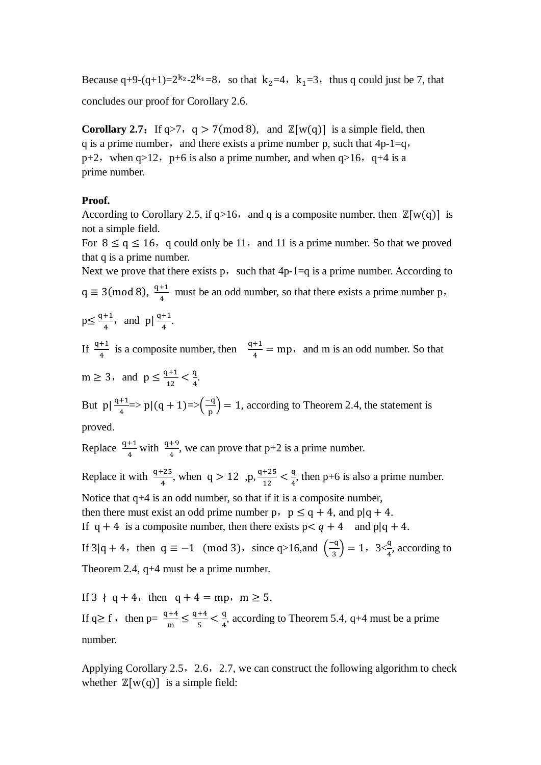Because q+9-(q+1)= $2^{k_2} - 2^{k_1} = 8$ , so that  $k_2 = 4$ ,  $k_1 = 3$ , thus q could just be 7, that

concludes our proof for Corollary 2.6.

**Corollary 2.7:** If  $q > 7$ ,  $q > 7 \pmod{8}$ , and  $\mathbb{Z}[w(q)]$  is a simple field, then q is a prime number, and there exists a prime number p, such that  $4p-1=q$ , p+2, when  $q>12$ , p+6 is also a prime number, and when  $q>16$ , q+4 is a prime number.

## **Proof.**

According to Corollary 2.5, if  $q>16$ , and q is a composite number, then  $\mathbb{Z}[w(q)]$  is not a simple field.

For  $8 \le q \le 16$ , q could only be 11, and 11 is a prime number. So that we proved that q is a prime number.

Next we prove that there exists p, such that  $4p-1=q$  is a prime number. According to  $q \equiv 3 \pmod{8}$ ,  $\frac{q}{2}$  $\frac{+1}{4}$  must be an odd number, so that there exists a prime number p,

$$
p \le \frac{q+1}{4}
$$
, and  $p \mid \frac{q+1}{4}$ .

If  $\frac{q+1}{4}$  is a composite number, then  $\frac{q+1}{4} = mp$ , and m is an odd number. So that

 $m \geq 3$ , and  $p \leq \frac{q}{q}$  $\frac{1+1}{12} < \frac{q}{4}$  $\frac{q}{4}$ .

But  $p\left|\frac{q+1}{4}\right| \geq p|(q+1)=\sum_{r=1}^{\infty}$  $\left(\frac{-q}{p}\right)$  = 1, according to Theorem 2.4, the statement is proved.

Replace  $\frac{q+1}{4}$  with  $\frac{q+3}{4}$ , we can prove that p+2 is a prime number.

Replace it with  $\frac{q+25}{4}$ , when  $q > 12$ , p, <sup>q</sup>  $\frac{+25}{12} < \frac{q}{4}$  $\frac{q}{4}$ , then p+6 is also a prime number. Notice that q+4 is an odd number, so that if it is a composite number, then there must exist an odd prime number p,  $p \leq q + 4$ , and  $p \mid q + 4$ . If  $q + 4$  is a composite number, then there exists  $p < q + 4$  and  $p | q + 4$ . If 3|q + 4, then  $q \equiv -1 \pmod{3}$ , since q>16,and  $\left(\frac{-1}{2}\right)$  $\left(\frac{-q}{3}\right) = 1$ ,  $3 \leq \frac{q}{4}$ , according to

Theorem 2.4, q+4 must be a prime number.

If  $3 \nmid q+4$ , then  $q+4 = mp$ ,  $m \ge 5$ . If  $q \ge f$ , then  $p = \frac{q+4}{m} \le \frac{q}{q}$  $rac{+4}{5} < \frac{q}{4}$  $\frac{q}{4}$ , according to Theorem 5.4, q+4 must be a prime number.

Applying Corollary 2.5, 2.6, 2.7, we can construct the following algorithm to check whether  $\mathbb{Z}[w(q)]$  is a simple field: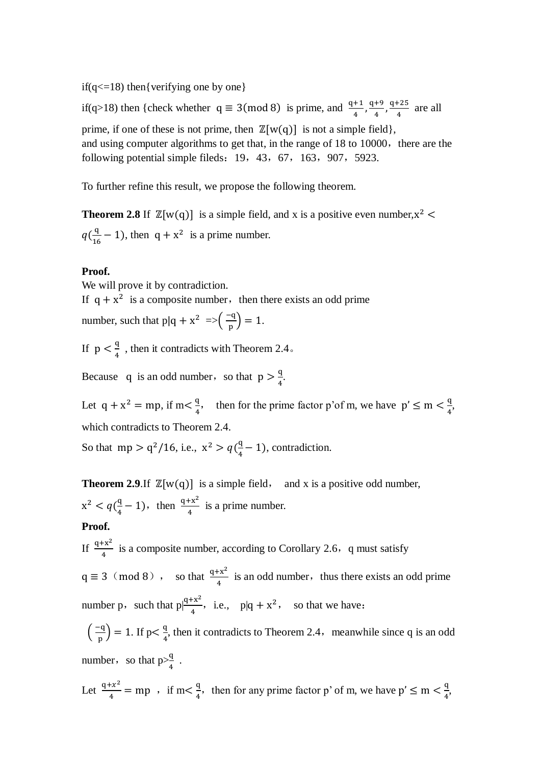if( $q \leq 18$ ) then{verifying one by one}

if(q>18) then {check whether  $q \equiv 3 \pmod{8}$  is prime, and  $\frac{q+1}{4}$ ,  $\frac{q}{4}$  $\frac{+9}{4}$ ,  $\frac{q}{4}$  $\frac{125}{4}$  are all prime, if one of these is not prime, then  $\mathbb{Z}[w(q)]$  is not a simple field, and using computer algorithms to get that, in the range of 18 to 10000, there are the following potential simple fileds:  $19, 43, 67, 163, 907, 5923$ .

To further refine this result, we propose the following theorem.

**Theorem 2.8** If  $\mathbb{Z}[w(q)]$  is a simple field, and x is a positive even number,  $x^2$  $q(\frac{q}{16}-1)$ , then  $q + x^2$  is a prime number.

### **Proof.**

We will prove it by contradiction.

If  $q + x^2$  is a composite number, then there exists an odd prime

number, such that  $p|q + x^2 \implies \left(\frac{-q}{p}\right) = 1$ .

If  $p < \frac{q}{4}$ , then it contradicts with Theorem 2.4.

Because q is an odd number, so that  $p > \frac{q}{l}$  $\frac{q}{4}$ .

Let  $q + x^2 = mp$ , if  $m < \frac{q}{4}$ , then for the prime factor p'of m, we have  $p' \le m < \frac{q}{4}$  $\frac{q}{4}$ which contradicts to Theorem 2.4.

So that  $mp > q^2/16$ , i.e.,  $x^2$  $\frac{q}{4}$  – 1), contradiction.

**Theorem 2.9.**If  $\mathbb{Z}[w(q)]$  is a simple field, and x is a positive odd number,  $x^2$  $\frac{q}{4} - 1$ , then  $\frac{q + x^2}{4}$  $\frac{1}{4}$  is a prime number.

## **Proof.**

If  $\frac{q+x^{-}}{4}$  is a composite number, according to Corollary 2.6, q must satisfy

 $q \equiv 3 \pmod{8}$ , so that  $\frac{q+x^2}{4}$  $\frac{1+x^2}{4}$  is an odd number, thus there exists an odd prime number p, such that  $p|\frac{q+x^2}{4}$ , i.e.,  $p|q + x^2$ , so that we have:

 $\left(\frac{-q}{p}\right) = 1.$  If p $\lt \frac{q}{4}$  $\frac{q}{4}$ , then it contradicts to Theorem 2.4, meanwhile since q is an odd number, so that  $p > \frac{q}{4}$  $\frac{q}{4}$  .

Let 
$$
\frac{q+x^2}{4} = mp
$$
, if  $m < \frac{q}{4}$ , then for any prime factor p' of m, we have  $p' \le m < \frac{q}{4}$ ,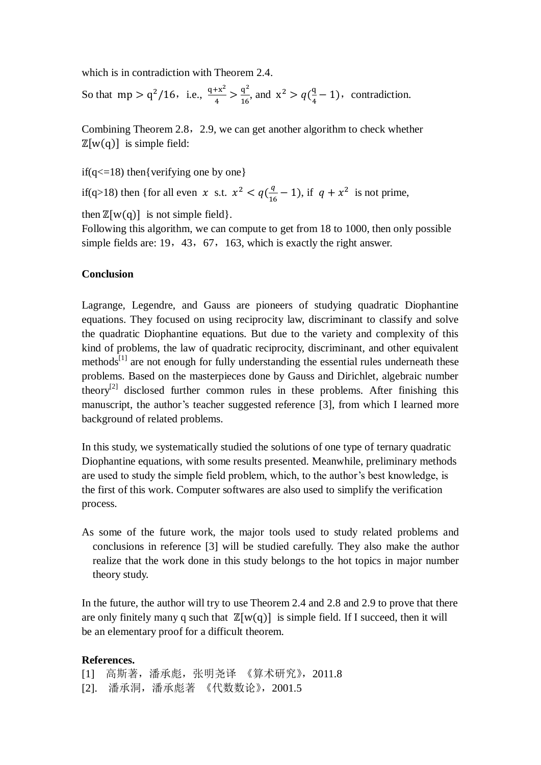which is in contradiction with Theorem 2.4.

So that mp >  $q^2/16$ , i.e.,  $\frac{q+x^2}{4}$  $\frac{+x^2}{4}$  >  $\frac{q^2}{16}$  $\frac{q^2}{16}$ , and  $x^2 > q(\frac{q}{4})$  $\frac{q}{4}$  – 1), contradiction.

Combining Theorem 2.8, 2.9, we can get another algorithm to check whether  $\mathbb{Z}[w(q)]$  is simple field:

if( $q \leq 18$ ) then{verifying one by one}

if(q>18) then {for all even x s.t.  $x^2$  $\frac{q}{16}$  – 1), if  $q + x^2$  is not prime,

then  $\mathbb{Z}[w(q)]$  is not simple field.

Following this algorithm, we can compute to get from 18 to 1000, then only possible simple fields are: 19, 43, 67, 163, which is exactly the right answer.

## **Conclusion**

Lagrange, Legendre, and Gauss are pioneers of studying quadratic Diophantine equations. They focused on using reciprocity law, discriminant to classify and solve the quadratic Diophantine equations. But due to the variety and complexity of this kind of problems, the law of quadratic reciprocity, discriminant, and other equivalent methods<sup>[1]</sup> are not enough for fully understanding the essential rules underneath these problems. Based on the masterpieces done by Gauss and Dirichlet, algebraic number theory<sup>[2]</sup> disclosed further common rules in these problems. After finishing this manuscript, the author's teacher suggested reference [3], from which I learned more background of related problems.

In this study, we systematically studied the solutions of one type of ternary quadratic Diophantine equations, with some results presented. Meanwhile, preliminary methods are used to study the simple field problem, which, to the author's best knowledge, is the first of this work. Computer softwares are also used to simplify the verification process.

As some of the future work, the major tools used to study related problems and conclusions in reference [3] will be studied carefully. They also make the author realize that the work done in this study belongs to the hot topics in major number theory study.

In the future, the author will try to use Theorem 2.4 and 2.8 and 2.9 to prove that there are only finitely many q such that  $\mathbb{Z}[w(q)]$  is simple field. If I succeed, then it will be an elementary proof for a difficult theorem.

### **References.**

[1] 高斯著,潘承彪,张明尧译 《算术研究》,2011.8 [2]. 潘承洞,潘承彪著 《代数数论》,2001.5